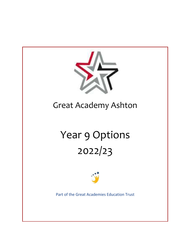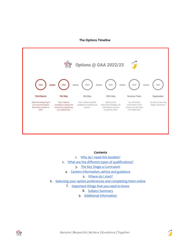#### **The Options Timeline**



#### **Contents**

- 1. [Why do I need this booklet?](#page-2-0)
- 2. [What are the different types of qualifications?](#page-2-1)
	- 3. [The Key Stage 4 Curriculum](#page-3-0)
	- 4. [Careers information, advice and guidance](#page-3-1)

### 5. [Where do I start?](#page-3-2)

- 6. [Selecting your option preferences and completing them online](#page-4-0)
	- 7. [Important things that you need to know](#page-4-1)
		- 8. [Subject Summary](#page-6-0)
		- 9. [Additional Information](#page-28-0)



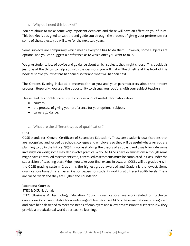# <span id="page-2-0"></span>1. Why do I need this booklet?

You are about to make some very important decisions and these will have an effect on your future. This booklet is designed to support and guide you through the process of giving your preferences for some of the subjects you will take for the next two years.

Some subjects are compulsory which means everyone has to do them. However, some subjects are optional and you can suggest a preference as to which ones you want to take.

We give students lots of advice and guidance about which subjects they might choose. This booklet is just one of the things to help you with the decisions you will make. The timeline at the front of this booklet shows you what has happened so far and what will happen next.

The Options Evening included a presentation to you and your parents/carers about the options process. Hopefully, you used the opportunity to discuss your options with your subject teachers.

Please read this booklet carefully. It contains a lot of useful information about:

- courses
- the process of giving your preference for your optional subjects
- careers guidance.

## <span id="page-2-1"></span>2. What are the different types of qualification?

## **GCSE**

GCSE stands for 'General Certificate of Secondary Education'. These are academic qualifications that are recognised and valued by schools, colleges and employers so they will be useful whatever you are planning to do in the future. GCSEs involve studying the theory of a subject and usually include some investigation work; some may also involve practical work. All GCSEs have examinations although some might have controlled assessments too; controlled assessments must be completed in class under the supervision of teaching staff. When you take your final exams in 2022, all GCSEs will be graded 9-1. In the GCSE grading system, Grade 9 is the highest grade awarded and Grade 1 is the lowest. Some qualifications have different examination papers for students working at different ability levels. These are called 'tiers' and they are Higher and Foundation.

### Vocational Courses

## BTEC & OCR Nationals

BTEC (Business & Technology Education Council) qualifications are work-related or 'technical (vocational)' courses suitable for a wide range of learners. Like GCSEs these are nationally recognised and have been designed to meet the needs of employers and allow progression to further study. They provide a practical, real-world approach to learning.



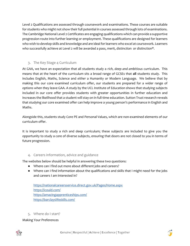Level 2 Qualifications are assessed through coursework and examinations. These courses are suitable for students who might not show their full potential in courses assessed through lots of examinations. The Cambridge National Level 2 Certificates are engaging qualifications which can provide a supportive progression route into further learning or employment. These qualifications are designed for learners who wish to develop skills and knowledge and are ideal for learners who excel at coursework. Learners who successfully achieve at Level 2 will be awarded a pass, merit, distinction or distinction\*.

# <span id="page-3-0"></span>3. The Key Stage 4 Curriculum

At GAA, we have an expectation that all students study a *rich, deep and ambitious* curriculum. This means that at the heart of the curriculum sits a broad range of GCSEs that **all** students study. This includes English, Maths, Science and *either* a Humanity or Modern Language. We believe that by making this our core examined curriculum offer, our students are prepared for a wider range of options when they leave GAA. A study by the UCL Institute of Education shows that studying subjects included in our core offer provides students with greater opportunities in further education and increases the likelihood that a student will stay on in full-time education. Sutton Trust research reveals that studying our core examined offer can help improve a young person's performance in English and Maths.

Alongside this, students study Core PE and Personal Values, which are non-examined elements of our curriculum offer.

It is important to study a rich and deep curriculum; these subjects are included to give you the opportunity to study a core of diverse subjects, ensuring that doors are not closed to you in terms of future progression.

# <span id="page-3-1"></span>4. Careers information, advice and guidance

The websites below should be helpful in answering these two questions:

- Where can I find out more about different jobs and careers?
- Where can I find information about the qualifications and skills that I might need for the jobs and careers I am interested in?

<https://nationalcareersservice.direct.gov.uk/Pages/Home.aspx> <https://icould.com/> <https://amazingapprenticeships.com/> <https://barclayslifeskills.com/>

<span id="page-3-2"></span>5. Where do I start?

Making Your Preferences



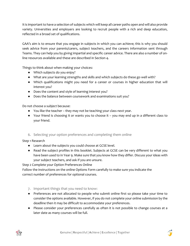It is important to have a selection of subjects which will keep all career paths open and will also provide variety. Universities and employers are looking to recruit people with a rich and deep education, reflected in a broad set of qualifications.

GAA's aim is to ensure that you engage in subjects in which you can achieve; this is why you should seek advice from your parents/carers, subject teachers, and the careers information sent through Teams. They can help you by giving impartial and specific career advice. There are also a number of online resources available and these are described in Section 4.

Things to think about when making your choices:

- Which subjects do you enjoy?
- What are your learning strengths and skills and which subjects do these go well with?
- Which qualifications might you need for a career or courses in higher education that will interest you?
- Does the content and style of learning interest you?
- Does the balance between coursework and examinations suit you?

Do not choose a subject because:

- You like the teacher they may not be teaching your class next year.
- Your friend is choosing it or wants you to choose it you may end up in a different class to your friend.

# <span id="page-4-0"></span>6. Selecting your option preferences and completing them online

Step 1 Research

- Learn about the subjects you could choose at GCSE level.
- Read the subject profiles in this booklet. Subjects at GCSE can be very different to what you have been used to in Year 9. Make sure that you know how they differ. Discuss your ideas with your subject teachers, and ask if you are unsure.

Step 2 Complete your Option Preferences Online

Follow the instructions on the online Options Form carefully to make sure you indicate the correct number of preferences for optional courses.

- <span id="page-4-1"></span>7. Important things that you need to know:
- Preferences are not allocated to people who submit online first so please take your time to consider the options available. However, if you do not complete your online submission by the deadline then it may be difficult to accommodate your preferences.
- Please consider your preferences carefully as often it is not possible to change courses at a later date as many courses will be full.



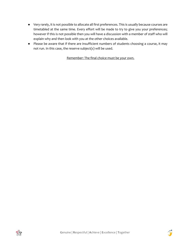- Very rarely, it is not possible to allocate all first preferences. This is usually because courses are timetabled at the same time. Every effort will be made to try to give you your preferences; however if this is not possible then you will have a discussion with a member of staff who will explain why and then look with you at the other choices available.
- Please be aware that if there are insufficient numbers of students choosing a course, it may not run. In this case, the reserve subject(s) will be used.

Remember: The final choice must be your own.



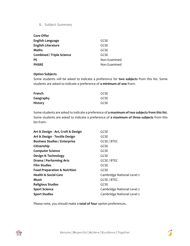# 8. Subject Summary

<span id="page-6-0"></span>

| <b>Core Offer</b>                |              |
|----------------------------------|--------------|
| English Language                 | GCSE         |
| <b>English Literature</b>        | GCSE         |
| <b>Maths</b>                     | GCSE         |
| <b>Combined / Triple Science</b> | GCSE         |
| <b>PE</b>                        | Non Examined |
| <b>PHSRE</b>                     | Non Examined |

### **Option Subjects**

Some students will be asked to indicate a preference for **two subjects** from this list. Some students are asked to indicate a preference of **a minimum of one** from:

| French         | GCSE |
|----------------|------|
| Geography      | GCSE |
| <b>History</b> | GCSE |

Some students are asked to indicate a preference of **a maximum of two subjects from this list.**  Some students are asked to indicate a preference of **a maximum of three subjects** from this list from:

| Art & Design - Art, Craft & Design      | <b>GCSE</b>                |
|-----------------------------------------|----------------------------|
| Art & Design - Textile Design           | <b>GCSE</b>                |
| <b>Business Studies / Enterprise</b>    | <b>GCSE / BTEC</b>         |
| Citizenship                             | <b>GCSE</b>                |
| <b>Computer Science</b>                 | <b>GCSE</b>                |
| Design & Technology                     | <b>GCSE</b>                |
| Drama / Performing Arts                 | <b>GCSE / BTEC</b>         |
| <b>Film Studies</b>                     | <b>GCSE</b>                |
| <b>Food Preparation &amp; Nutrition</b> | <b>GCSE</b>                |
| <b>Health &amp; Social Care</b>         | Cambridge National Level 2 |
| <b>Music</b>                            | <b>GCSE / BTEC</b>         |
| <b>Religious Studies</b>                | <b>GCSE</b>                |
| <b>Sport Science</b>                    | Cambridge National Level 2 |
| <b>Sport Studies</b>                    | Cambridge National Level 2 |
|                                         |                            |

Please note, you should make a **total of four** option preferences.



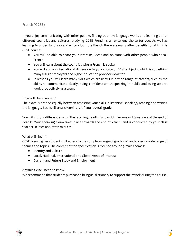# French (GCSE)

If you enjoy communicating with other people, finding out how language works and learning about different countries and cultures, studying GCSE French is an excellent choice for you. As well as learning to understand, say and write a lot more French there are many other benefits to taking this GCSE course:

- You will be able to share your interests, ideas and opinions with other people who speak French
- You will learn about the countries where French is spoken
- You will add an international dimension to your choice of GCSE subjects, which is something many future employers and higher education providers look for
- In lessons you will learn many skills which are useful in a wide range of careers, such as the ability to communicate clearly, being confident about speaking in public and being able to work productively as a team.

## How will I be assessed?

The exam is divided equally between assessing your skills in listening, speaking, reading and writing the language. Each skill area is worth 25% of your overall grade.

You will sit four different exams. The listening, reading and writing exams will take place at the end of Year 11. Your speaking exam takes place towards the end of Year 11 and is conducted by your class teacher. It lasts about ten minutes.

## What will I learn?

GCSE French gives students full access to the complete range of grades 1-9 and covers a wide range of themes and topics. The content of the specification is focused around 3 main themes:

- Identity and Culture
- Local, National, International and Global Areas of Interest
- Current and Future Study and Employment

## Anything else I need to know?

We recommend that students purchase a bilingual dictionary to support their work during the course.



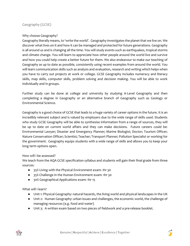# Why choose Geography?

Geography literally means, to 'write the world'. Geography investigates the planet that we live on. We discover what lives on it and how it can be managed and protected for future generations. Geography is all around us and is changing all the time. You will study events such as earthquakes, tropical storms and climate change. You will learn to appreciate how other people around the world live and survive and how you could help create a better future for them. We also endeavour to make our teaching of Geography as up to date as possible, consistently using recent examples from around the world. You will learn communication skills such as analysis and evaluation, research and writing which helps when you have to carry out projects at work or college. GCSE Geography includes numeracy and literacy skills, map skills, computer skills, problem solving and decision making. You will be able to work individually and in groups.

Further study can be done at college and university by studying A-Level Geography and then completing a degree in Geography or an alternative branch of Geography such as Geology or Environmental Science.

Geography is a good choice of GCSE that leads to a huge variety of career options in the future. It is an incredibly relevant subject and is valued by employers due to the wide range of skills used. Students who study GCSE Geography will be able to synthesise information from a range of sources, they will be up to date on current world affairs and they can make decisions. Future careers could be: Environmental Lawyer; Disaster and Emergency Planner; Marine Biologist; Doctor; Tourism Officer; Nature Conservation Officer; Scientist; Teacher; Transport Planner; Pollution Specialist or working for the government. Geography equips students with a wide range of skills and allows you to keep your long term options open.

## How will I be assessed?

We teach from the AQA GCSE specification syllabus and students will gain their final grade from three sources:

- 35% Living with the Physical Environment exam: 1hr 30
- 35% Challenge in the Human Environment exam: 1hr 30
- 30% Geographical Applications exam: 1hr 15

# What will I learn?

- Unit 1: Physical Geography: natural hazards, the living world and physical landscapes in the UK
- Unit 2: Human Geography: urban issues and challenges, the economic world, the challenge of managing resources (e.g. food and water)
- Unit 3: A written exam based on two pieces of fieldwork and a pre-release booklet.



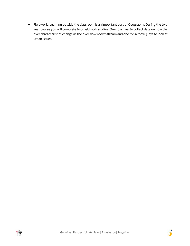● Fieldwork: Learning outside the classroom is an important part of Geography. During the two year course you will complete two fieldwork studies. One to a river to collect data on how the river characteristics change as the river flows downstream and one to Salford Quays to look at urban issues.



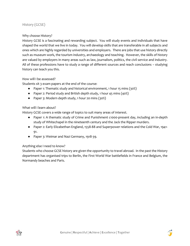# History (GCSE)

### Why choose History?

History GCSE is a fascinating and rewarding subject. You will study events and individuals that have shaped the world that we live in today. You will develop skills that are transferable in all subjects and ones which are highly regarded by universities and employers. There are jobs that use history directly such as museum work, the tourism industry, archaeology and teaching. However, the skills of history are valued by employers in many areas such as law, journalism, politics, the civil service and industry. All of these professions have to study a range of different sources and reach conclusions – studying history can teach you this.

### How will I be assessed?

Students sit 3 exam papers at the end of the course:

- Paper 1: Thematic study and historical environment, 1 hour 15 mins (30%)
- Paper 2: Period study and British depth study, 1 hour 45 mins (40%)
- Paper 3: Modern depth study, 1 hour 20 mins (30%)

## What will I learn about?

History GCSE covers a wide range of topics to suit many areas of interest.

- Paper 1: A thematic study of Crime and Punishment c1000-present day, including an in-depth study of Whitechapel in the nineteenth century and the Jack the Ripper murders.
- Paper 2: Early Elizabethan England, 1558-88 and Superpower relations and the Cold War, 1941- 91.
- Paper 3: Weimar and Nazi Germany, 1918-39.

## Anything else I need to know?

Students who choose GCSE history are given the opportunity to travel abroad. In the past the History department has organised trips to Berlin, the First World War battlefields in France and Belgium, the Normandy beaches and Paris.



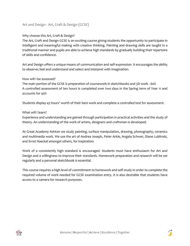# Art and Design - Art, Craft & Design (GCSE)

# Why choose this Art, Craft & Design?

The Art, Craft and Design GCSE is an exciting course giving students the opportunity to participate in intelligent and meaningful making with creative thinking. Painting and drawing skills are taught in a traditional manner and pupils are able to achieve high standards by gradually building their repertoire of skills and confidence.

Art and Design offers a unique means of communication and self-expression. It encourages the ability to observe; feel and understand and select and interpret with imagination.

### How will I be assessed?

The main portion of the GCSE is preparation of coursework in sketchbooks and 3D work - 60% A controlled assessment of ten hours is completed over two days in the Spring term of Year 11 and accounts for 40%

Students display 45 hours' worth of their best work and complete a controlled test for assessment.

### What will I learn?

Experience and understanding are gained through participation in practical activities and the study of theory. An understanding of the work of artists, designers and craftsmen is developed.

At Great Academy Ashton we study painting, surface manipulation, drawing, photography, ceramics and multimedia work. We use the art of Andrea Joseph, Peter Arkle, Angela Schwer, Diane Lublinski, and Ernst Haeckel amongst others, for inspiration.

Work of a consistently high standard is encouraged. Students must have enthusiasm for Art and Design and a willingness to improve their standards. Homework preparation and research will be set regularly and a personal sketchbook is essential.

This course requires a high level of commitment to homework and self-study in order to complete the required volume of work needed for GCSE examination entry. It is also desirable that students have access to a camera for research purposes.



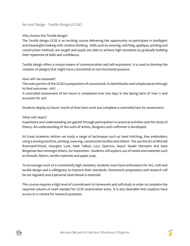# Art and Design - Textile Design (GCSE)

## Why choose this Textile design?

The Textile design GCSE is an exciting course delivering the opportunity to participate in intelligent and meaningful making with creative thinking. Skills such as weaving, stitching, applique, printing and construction methods are taught and pupils are able to achieve high standards by gradually building their repertoire of skills and confidence.

Textile design offers a unique means of communication and self-expression. It is used to develop the creation of designs that might have a functional or non-functional purpose.

## How will I be assessed?

The main portion of the GCSE is preparation of coursework, in sketchbooks and sample pieces through to final outcomes - 60%

A controlled assessment of ten hours is completed over two days in the Spring term of Year 11 and accounts for 40%

Students display 45 hours' worth of their best work and complete a controlled test for assessment.

## What will I learn?

Experience and understanding are gained through participation in practical activities and the study of theory. An understanding of the work of artists, designers and craftsmen is developed.

At Great Academy Ashton we study a range of techniques such as hand stitching, free embroidery using a sewing machine, printing, weaving, constructed textiles and shibori. We use the art of Michael Brennand-Wood, Georgina Luck, Kate Talbot, Lucy Sparrow, Sayuri Sasaki Hermann and Kate Bingaman Burt amongst others, for inspiration. Students will explore use of media and materials such as threads, fabrics, textile materials and paper pulp.

To encourage work of a consistently high standard, students must have enthusiasm for Art, craft and textile design and a willingness to improve their standards. Homework preparation and research will be set regularly and a personal sketchbook is essential.

This course requires a high level of commitment to homework and self-study in order to complete the required volume of work needed for GCSE examination entry. It is also desirable that students have access to a camera for research purposes.



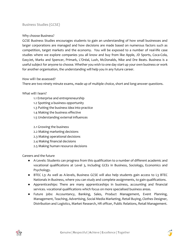# Business Studies (GCSE)

### Why choose Business?

GCSE Business Studies encourages students to gain an understanding of how small businesses and larger corporations are managed and how decisions are made based on numerous factors such as competition, target markets and the economy. You will be exposed to a number of real-life case studies where we explore companies you all know and buy from like Apple, JD Sports, Coca-Cola, EasyJet, Marks and Spencer, Primark, L'Oréal, Lush, McDonalds, Nike and Dre Beats. Business is a useful subject for anyone to choose. Whether you wish to one day start up your own business or work for another organisation, the understanding will help you in any future career.

### How will I be assessed?

There are two ninety minute exams, made up of multiple choice, short and long-answer questions.

### What will I learn?

- 1.1 Enterprise and entrepreneurship
- 1.2 Spotting a business opportunity
- 1.3 Putting the business idea into practice
- 1.4 Making the business effective
- 1.5 Understanding external influences

## 2.1 Growing the business

- 2.2 Making marketing decisions
- 2.3 Making operational decisions
- 2.4 Making financial decisions
- 2.5 Making human resource decisions

Careers and the future

- A-Levels: Students can progress from this qualification to a number of different academic and vocational qualifications at Level 3, including GCEs in Business, Sociology, Economics and Psychology.
- BTEC L3: As well as A-levels, Business GCSE will also help students gain access to L3 BTEC Nationals in Business, where you can study and complete assignments, to gain qualifications.
- Apprenticeships: There are many apprenticeships in business, accounting and financial services. vocational qualifications which focus on more specialised business areas.
- Future jobs: Accountancy, Banking, Sales, Product Management, Event Planning, Management, Teaching, Advertising, Social Media Marketing, Retail Buying, Clothes Designer, Distribution and Logistics, Market Research, HR officer, Public Relations, Retail Management.



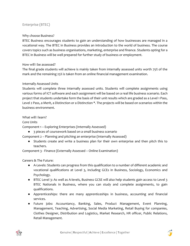# Enterprise (BTEC)

### Why choose Business?

BTEC Business encourages students to gain an understanding of how businesses are managed in a vocational way. The BTEC in Business provides an introduction to the world of business. The course covers topics such as business organisations, marketing, enterprise and finance. Students opting for a BTEC in Business will be well prepared for further study of business or employment.

### How will I be assessed?

The final grade students will achieve is mainly taken from internally assessed units worth 75% of the mark and the remaining 25% is taken from an online financial management examination.

### Internally Assessed Units

Students will complete three internally assessed units. Students will complete assignments using various forms of ICT software and each assignment will be based on a real life business scenario. Each project that students undertake form the basis of their unit results which are graded as a Level 1 Pass, Level 2 Pass, a Merit, a Distinction or a Distinction \*. The projects will be based on scenarios within the business environment.

## What will I learn?

### Core Units

Component 1 – Exploring Enterprises (Internally Assessed)

● 3 pieces of coursework based on a small business scenario

Component 2 – Planning and pitching an enterprise (Internally Assessed)

● Students create and write a business plan for their own enterprise and then pitch this to teachers.

Component 3 - Finance (Externally Assessed – Online Examination)

Careers & The Future:

- A-Levels: Students can progress from this qualification to a number of different academic and vocational qualifications at Level 3, including GCEs in Business, Sociology, Economics and Psychology.
- BTEC Level 3: As well as A-levels, Business GCSE will also help students gain access to Level 3 BTEC Nationals in Business, where you can study and complete assignments, to gain qualifications.
- Apprenticeships: there are many apprenticeships in business, accounting and financial services.
- Future jobs: Accountancy, Banking, Sales, Product Management, Event Planning, Management, Teaching, Advertising, Social Media Marketing, Retail Buying for companies, Clothes Designer, Distribution and Logistics, Market Research, HR officer, Public Relations, Retail Management.

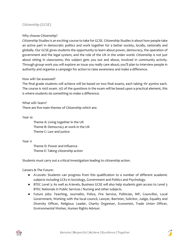# Citizenship (GCSE)

## Why choose Citizenship?

Citizenship Studies is an exciting course to take for GCSE. Citizenship Studies is about how people take an active part in democratic politics and work together for a better society, locally, nationally and globally. Our GCSE gives students the opportunity to learn about power, democracy, the operation of government and the legal system, and the role of the UK in the wider world. Citizenship is not just about sitting in classrooms; this subject gets you out and about, involved in community activity. Through group work you will explore an issue you really care about; you'll plan to interview people in authority and organise a campaign for action to raise awareness and make a difference.

### How will I be assessed?

The final grade students will achieve will be based on two final exams, each taking 1hr 45mins each. The course is 100% exam. 15% of the questions in the exam will be based upon a practical element, this is where students do something to make a difference.

What will I learn? There are five main themes of Citizenship which are:

Year 10

Theme A: Living together in the UK Theme B: Democracy at work in the UK Theme C: Law and justice

### Year 11

Theme D: Power and influence Theme E: Taking citizenship action

Students must carry out a critical investigation leading to citizenship action.

Careers & The Future:

- A-Levels: Students can progress from this qualification to a number of different academic subjects including GCEs in Sociology, Government and Politics and Psychology.
- BTEC Level 3: As well as A-levels, Business GCSE will also help students gain access to Level 3 BTEC Nationals in Public Services / Nursing and other subjects.
- Future jobs: Teaching, Journalist, Police, Fire Service, Politician, MP, Councillor, Local Government, Working with the local council, Lawyer, Barrister, Solicitor, Judge, Equality and Diversity Officer, Religious Leader, Charity Organiser, Economist, Trade Union Officer, Environmental Worker, Human Rights Advisor.



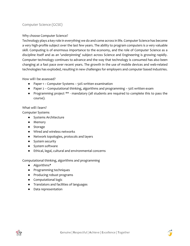# Computer Science (GCSE)

## Why choose Computer Science?

Technology plays a key role in everything we do and come across in life. Computer Science has become a very high-profile subject over the last few years. The ability to program computers is a very valuable skill. Computing is of enormous importance to the economy, and the role of Computer Science as a discipline itself and as an 'underpinning' subject across Science and Engineering is growing rapidly. Computer technology continues to advance and the way that technology is consumed has also been changing at a fast pace over recent years. The growth in the use of mobile devices and web-related technologies has exploded, resulting in new challenges for employers and computer based industries.

How will I be assessed?

- Paper 1 Computer Systems 50% written examination
- Paper 2 Computational thinking, algorithms and programming 50% written exam
- Programming project \*\* mandatory (all students are required to complete this to pass the course).

## What will I learn?

Computer Systems

- Systems Architecture
- Memory
- Storage
- Wired and wireless networks
- Network topologies, protocols and layers
- System security
- System software
- Ethical, legal, cultural and environmental concerns

Computational thinking, algorithms and programming

- Algorithms\*
- Programming techniques
- Producing robust programs
- Computational logic
- Translators and facilities of languages
- Data representation



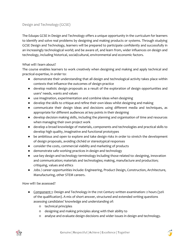# Design and Technology (GCSE)

The Eduqas GCSE in Design and Technology offers a unique opportunity in the curriculum for learners to identify and solve real problems by designing and making products or systems. Through studying GCSE Design and Technology, learners will be prepared to participate confidently and successfully in an increasingly technological world; and be aware of, and learn from, wider influences on design and technology, including historical, social/cultural, environmental and economic factors.

## What will I learn about?

The course enables learners to work creatively when designing and making and apply technical and practical expertise, in order to:

- demonstrate their understanding that all design and technological activity takes place within contexts that influence the outcomes of design practice
- develop realistic design proposals as a result of the exploration of design opportunities and users' needs, wants and values
- use imagination, experimentation and combine ideas when designing
- develop the skills to critique and refine their own ideas whilst designing and making
- communicate their design ideas and decisions using different media and techniques, as appropriate for different audiences at key points in their designing
- develop decision making skills, including the planning and organisation of time and resources when managing their own project work
- develop a broad knowledge of materials, components and technologies and practical skills to develop high quality, imaginative and functional prototypes
- be ambitious and open to explore and take design risks in order to stretch the development of design proposals, avoiding clichéd or stereotypical responses
- consider the costs, commercial viability and marketing of products
- demonstrate safe working practices in design and technology
- use key design and technology terminology including those related to: designing, innovation and communication; materials and technologies; making, manufacture and production; critiquing, values and ethics
- Jobs / career opportunities include: Engineering, Product Design, Construction, Architecture, Manufacturing, other STEM careers.

How will I be assessed?

- Component 1: Design and Technology in the 21st Century written examination: 2 hours (50% of the qualification). A mix of short answer, structured and extended writing questions assessing candidates' knowledge and understanding of:
	- technical principles
	- designing and making principles along with their ability to
	- analyse and evaluate design decisions and wider issues in design and technology.



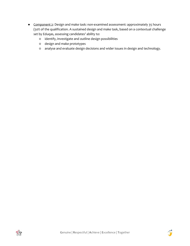- Component 2: Design and make task: non-examined assessment: approximately 35 hours (50% of the qualification. A sustained design and make task, based on a contextual challenge set by Eduqas, assessing candidates' ability to:
	- identify, investigate and outline design possibilities
	- design and make prototypes
	- analyse and evaluate design decisions and wider issues in design and technology.



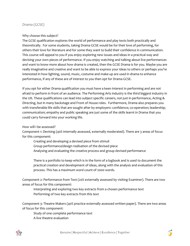## Drama (GCSE)

### Why choose this subject?

The GCSE qualification explores the world of performance and play texts both practically and theoretically. For some students, taking Drama GCSE would be for their love of performing, for others their love for literature and for some they want to build their confidence in communication. This course will appeal to you if you enjoy exploring new issues and ideas in a practical way and devising your own pieces of performance. If you enjoy watching and talking about live performances and want to know more about how drama is created, then the GCSE Drama is for you. Maybe you are really imaginative and creative and want to be able to express your ideas to others or perhaps you're interested in how lighting, sound, music, costume and make-up are used in drama to enhance performance, if any of these are of interest to you then opt for Drama GCSE.

If you opt for either Drama qualification you must have a keen interest in performing and are not afraid to perform in front of an audience. The Performing Arts industry is the third biggest industry in the UK. These qualifications can lead into subject specific careers, not just in performance, Acting & Directing, but in many backstage and Front of House roles. Furthermore, Drama also prepares you with transferable life skills that are sought after by employers: confidence; co-operation; leadership; communication; empathy and public speaking are just some of the skills learnt in Drama that you could carry forward into your working life.

### How will I be assessed?

Component 1: Devising (40% internally assessed, externally moderated). There are 3 areas of focus for this component:

Creating and developing a devised piece from stimuli Group performance/design realisation of the devised piece Analysing and evaluating the creative process and group devised performance

There is a portfolio to keep which is in the form of a logbook and is used to document the practical creation and development of ideas, along with the analysis and evaluation of this process. This has a maximum word count of 2000 words.

Component 2: Performance from Text (20% externally assessed by visiting Examiner). There are two areas of focus for this component:

Interpreting and exploring two key extracts from a chosen performance text Performing of two key extracts from this text

Component 3: Theatre Makers (40% practice externally assessed written paper). There are two areas of focus for this component:

Study of one complete performance text A live theatre evaluation



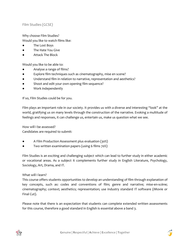Film Studies (GCSE)

Why choose Film Studies?

Would you like to watch films like:

- The Lost Boys
- The Hate You Give
- **Attack The Block**

Would you like to be able to:

- Analyse a range of films?
- Explore film techniques such as cinematography, mise en scene?
- Understand film in relation to narrative, representation and aesthetics?
- Shoot and edit your own opening film sequence?
- Work independently

If so, Film Studies could be for you.

Film plays an important role in our society. It provides us with a diverse and interesting "look" at the world, gratifying us on many levels through the construction of the narrative. Evoking a multitude of feelings and responses, it can challenge us, entertain us, make us question what we see.

How will I be assessed? Candidates are required to submit:

- A Film Production Assessment plus evaluation (30%)
- Two written examination papers (using 6 films 70%)

Film Studies is an exciting and challenging subject which can lead to further study in either academic or vocational areas. As a subject it complements further study in English Literature, Psychology, Sociology, Art, Drama, and IT.

### What will I learn?

This course offers students opportunities to develop an understanding of film through explanation of key concepts, such as: codes and conventions of film; genre and narrative; mise-en-scène; cinematography; context; aesthetics; representation; use industry standard IT software (iMovie or Final Cut).

Please note that there is an expectation that students can complete extended written assessments for this course, therefore a good standard in English is essential above a band 3.



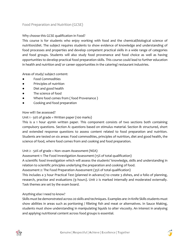# Food Preparation and Nutrition (GCSE)

# Why choose this GCSE qualification in Food?

This course is for students who enjoy working with food and the chemical/biological science of nutrition/diet. The subject requires students to show evidence of knowledge and understanding of food processes and properties and develop competent practical skills in a wide range of categories and food groups. Students will also study food provenance and food choice as well as having opportunities to develop practical food preparation skills. This course could lead to further education in health and nutrition and/ or career opportunities in the catering/ restaurant industries.

Areas of study/ subject content:

- **Food Commodities**
- Principles of nutrition
- Diet and good health
- The science of food
- Where food comes from (food Provenance)
- Cooking and food preparation

## How will I be assessed?

## Unit 1 - 50% of grade = Written paper (100 marks)

This is a 1 hour 45min written paper. This component consists of two sections both containing compulsory questions. Section A: questions based on stimulus material. Section B: structured, short and extended response questions to assess content related to food preparation and nutrition. Students are tested on six areas: Food commodities, principles of nutrition, diet and good health, the science of food, where food comes from and cooking and food preparation.

## Unit 2 - 50% of grade = Non–exam Assessment (NEA)

Assessment 1: The Food Investigation Assessment (15% of total qualification)

A scientific food investigation which will assess the students' knowledge, skills and understanding in relation to scientific principles underlying the preparation and cooking of food.

Assessment 2: The Food Preparation Assessment (35% of total qualification)

This includes a 3 hour Practical Test (planned in advance) to create 3 dishes, and a folio of planning, research, practise and evaluations (9 hours). Unit 2 is marked internally and moderated externally. Task themes are set by the exam board.

## Anything else I need to know?

Skills must be demonstrated across 20 skills and techniques. Examples are: in Knife Skills students must show abilities in areas such as portioning / filleting fish and meat or alternatives. In Sauce Making, students must show understanding in manipulating liquids to alter viscosity. An interest in analysing and applying nutritional content across food groups is essential.



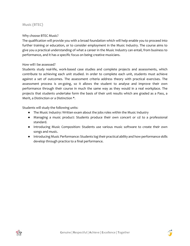# Music (BTEC)

### Why choose BTEC Music?

The qualification will provide you with a broad foundation which will help enable you to proceed into further training or education, or to consider employment in the Music Industry. The course aims to give you a practical understanding of what a career in the Music Industry can entail, from business to performance, and it has a specific focus on being creative musicians.

### How will I be assessed?

Students study real-life, work-based case studies and complete projects and assessments, which contribute to achieving each unit studied. In order to complete each unit, students must achieve against a set of outcomes. The assessment criteria address theory with practical exercises. The assessment process is on-going, so it allows the student to analyse and improve their own performance through their course in much the same way as they would in a real workplace. The projects that students undertake form the basis of their unit results which are graded as a Pass, a Merit, a Distinction or a Distinction \*.

Students will study the following units:

- The Music Industry: Written exam about the jobs roles within the Music Industry
- Managing a music product: Students produce their own concert or cd to a professional standard.
- Introducing Music Composition: Students use various music software to create their own songs and music.
- Introducing Music Performance: Students log their practical ability and how performance skills develop through practice to a final performance.



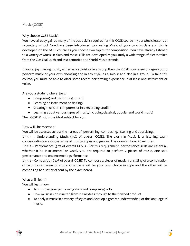# Music (GCSE)

### Why choose GCSE Music?

You have already gained many of the basic skills required for this GCSE course in your Music lessons at secondary school. You have been introduced to creating Music of your own in class and this is developed on the GCSE course as you choose two topics for composition. You have already listened to a variety of Music in class and these skills are developed as you study a wide range of pieces taken from the Classical, 20th and 21st centuries and World Music strands.

If you enjoy making music, either as a soloist or in a group then the GCSE course encourages you to perform music of your own choosing and in any style, as a soloist and also in a group. To take this course, you must be able to offer some recent performing experience in at least one instrument or voice.

Are you a student who enjoys:

- Composing and performing music?
- Learning an instrument or singing?
- Creating music on computers or in a recording studio?
- Learning about various types of music, including classical, popular and world music?

Then GCSE Music is the ideal subject for you.

## How will I be assessed?

You will be assessed across the 3 areas of: performing, composing, listening and appraising.

Unit 1 – Understanding Music (40% of overall GCSE). The exam in Music is a listening exam concentrating on a whole range of musical styles and genres. The exam is 1 hour 30 minutes.

Unit 2 – Performance (30% of overall GCSE) - For this requirement, performance skills are essential, whether it be instrumental or vocal. You are required to perform 2 pieces of music, one solo performance and one ensemble performance

Unit 3 – Composition (30% of overall GCSE) To compose 2 pieces of music, consisting of a combination of two chosen areas of study. One piece will be your own choice in style and the other will be composing to a set brief sent by the exam board.

## What will I learn?

You will learn how:

- To improve your performing skills and composing skills
- How music is constructed from initial ideas through to the finished product
- To analyse music in a variety of styles and develop a greater understanding of the language of music.



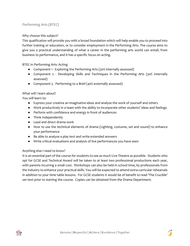# Performing Arts (BTEC)

# Why choose this subject?

This qualification will provide you with a broad foundation which will help enable you to proceed into further training or education, or to consider employment in the Performing Arts. The course aims to give you a practical understanding of what a career in the performing arts world can entail, from business to performance, and it has a specific focus on acting.

BTEC in Performing Arts: Acting

- Component 1 Exploring the Performing Arts (30% internally assessed)
- Component 2 Developing Skills and Techniques in the Performing Arts (30% internally assessed)
- Component 3 Performing to a Brief (40% externally assessed)

## What will I learn about?

You will learn to:

- Express your creative an imaginative ideas and analyse the work of yourself and others
- Work productively in a team with the ability to incorporate other students' ideas and feelings
- Perform with confidence and energy in front of audiences
- Think independently
- Lead and direct drama work
- How to use the technical elements of drama (Lighting, costume, set and sound) to enhance your performance
- Be able to analyse a play text and write extended answers
- Write critical evaluations and analysis of live performances you have seen

## Anything else I need to know?

It is an essential part of the course for students to see as much Live Theatre as possible. Students who opt for GCSE and Technical Award will be taken to at least two professional productions each year, with parents incurring a small cost. Workshops can also be held in school time, by professionals from the industry to enhance your practical skills. You will be expected to attend extra-curricular rehearsals in addition to your time table lessons. For GCSE students it would be of benefit to read 'The Crucible' set text prior to starting the course. Copies can be obtained from the Drama Department.



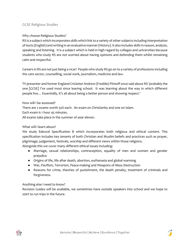# GCSE Religious Studies

## Why choose Religious Studies?

RS is a subject which incorporates skills which link to a variety of other subjects including interpretation of texts (English) and writing in an evaluative manner (History). It also includes skills in reason, analysis, speaking and listening. It is a subject which is held in high regard by colleges and universities because students who study RS are not worried about having opinions and defending them whilst remaining calm and respectful.

Careers in RS are not just being a vicar! People who study RS go on to a variety of professions including the care sector, counselling, social work, journalism, medicine and law.

TV presenter and former England Cricketer Andrew (Freddie) Flintoff once said about RS 'probably the one [GCSE] I've used most since leaving school. It was learning about the way in which different people live… Essentially, it's all about being a better person and showing respect.'

How will I be assessed? There are 2 exams worth 50% each. An exam on Christianity and one on Islam. Each exam is 1 hour 45 minutes. All exams take place in the summer of year eleven.

## What will I learn about?

We study Edexcel Specification B which incorporates both religious and ethical content. This specification includes key tenants of both Christian and Muslim beliefs and practices such as prayer, pilgrimage, judgement, festivals, worship and different views within those religions.

Alongside this we cover many different ethical issues including:

- Marriage, sexual relationships, contraception, equality of men and women and gender prejudice
- Origins of life, life after death, abortion, euthanasia and global warming
- War, Pacifism, Terrorism, Peace-making and Weapons of Mass Destruction
- Reasons for crime, theories of punishment, the death penalty, treatment of criminals and forgiveness.

## Anything else I need to know?

Revision Guides will be available, we sometimes have outside speakers into school and we hope to start to run trips in the future.



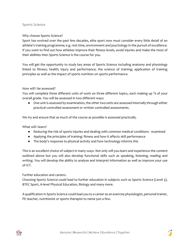## Sports Science

## Why choose Sports Science?

Sport has evolved over the past few decades, elite sport now must consider every little detail of an athlete's training programme; e.g. rest time, environment and psychology in the pursuit of excellence. If you want to find out how athletes improve their fitness levels, avoid injuries and make the most of their abilities then Sports Science is the course for you.

You will get the opportunity to study key areas of Sports Science including anatomy and physiology linked to fitness; health; injury and performance; the science of training; application of training principles as well as the impact of sports nutrition on sports performance.

## How will I be assessed?

You will complete three different units of work on three different topics, each making up ⅓ of your overall grade. You will be assessed in two different ways:

● One unit is assessed by examination, the other two units are assessed internally through either practical controlled assessment or written controlled assessments.

We try and ensure that as much of the course as possible is assessed practically.

What will I learn?

- Reducing the risk of sports injuries and dealing with common medical conditions examined
- Applying the principles of training: fitness and how it affects skill performance
- The body's response to physical activity and how technology informs this

This is an excellent choice of subject in many ways. Not only will you learn and experience the content outlined above but you will also develop functional skills such as speaking, listening, reading and writing. You will develop the ability to analyse and interpret information as well as improve your use of ICT.

### Further education and careers.

Choosing Sports Science could lead to further education in subjects such as Sports Science (Level 3), BTEC Sport, A-level Physical Education, Biology and many more.

A qualification in Sports Science could lead you to a career as an exercise physiologist, personal trainer, PE teacher, nutritionist or sports therapist to name just a few.



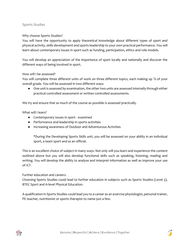# Sports Studies

### Why choose Sports Studies?

You will have the opportunity to apply theoretical knowledge about different types of sport and physical activity, skills development and sports leadership to your own practical performance. You will learn about contemporary issues in sport such as funding, participation, ethics and role models.

You will develop an appreciation of the importance of sport locally and nationally and discover the different ways of being involved in sport.

### How will I be assessed?

You will complete three different units of work on three different topics, each making up ⅓ of your overall grade. You will be assessed in two different ways:

● One unit is assessed by examination, the other two units are assessed internally through either practical controlled assessment or written controlled assessments.

We try and ensure that as much of the course as possible is assessed practically.

### What will I learn?

- Contemporary issues in sport examined
- Performance and leadership in sports activities
- Increasing awareness of Outdoor and Adventurous Activities

\*During the Developing Sports Skills unit, you will be assessed on your ability in an individual sport, a team sport and as an official.

This is an excellent choice of subject in many ways. Not only will you learn and experience the content outlined above but you will also develop functional skills such as speaking, listening, reading and writing. You will develop the ability to analyse and interpret information as well as improve your use of ICT.

## Further education and careers.

Choosing Sports Studies could lead to further education in subjects such as Sports Studies (Level 3), BTEC Sport and A-level Physical Education.

A qualification in Sports Studies could lead you to a career as an exercise physiologist, personal trainer, PE teacher, nutritionist or sports therapist to name just a few.

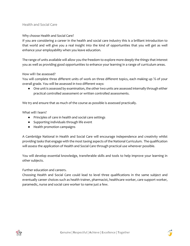# Health and Social Care

## Why choose Health and Social Care?

If you are considering a career in the health and social care industry this is a brilliant introduction to that world and will give you a real insight into the kind of opportunities that you will get as well enhance your employability when you leave education.

The range of units available will allow you the freedom to explore more deeply the things that interest you as well as providing good opportunities to enhance your learning in a range of curriculum areas.

### How will I be assessed?

You will complete three different units of work on three different topics, each making up ⅓ of your overall grade. You will be assessed in two different ways:

● One unit is assessed by examination, the other two units are assessed internally through either practical controlled assessment or written controlled assessments.

We try and ensure that as much of the course as possible is assessed practically.

What will I learn?

- Principles of care in health and social care settings
- Supporting individuals through life event
- Health promotion campaigns

A Cambridge National in Health and Social Care will encourage independence and creativity whilst providing tasks that engage with the most taxing aspects of the National Curriculum. The qualification will assess the application of Health and Social Care through practical use wherever possible.

You will develop essential knowledge, transferable skills and tools to help improve your learning in other subjects.

Further education and careers.

<span id="page-28-0"></span>Choosing Health and Social Care could lead to level three qualifications in the same subject and eventually career choices such as health trainer, pharmacist, healthcare worker, care support worker, paramedic, nurse and social care worker to name just a few.